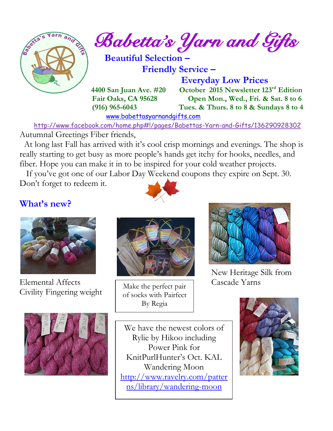

[www.babettasyarnandgifts.com](http://www.babettasyarnandgifts.com/)

 <http://www.facebook.com/home.php#!/pages/Babettas-Yarn-and-Gifts/136290928302> Autumnal Greetings Fiber friends,

 At long last Fall has arrived with it's cool crisp mornings and evenings. The shop is really starting to get busy as more people's hands get itchy for hooks, needles, and fiber. Hope you can make it in to be inspired for your cold weather projects.

 If you've got one of our Labor Day Weekend coupons they expire on Sept. 30. Don't forget to redeem it.

**What's new?**



Elemental Affects Cascade Yarns Civility Fingering weight





Make the perfect pair of socks with Pairfect By Regia



New Heritage Silk from

We have the newest colors of Rylie by Hikoo including Power Pink for KnitPurlHunter's Oct. KAL Wandering Moon [http://www.ravelry.com/patter](http://www.ravelry.com/patterns/library/wandering-moon) [ns/library/wandering-moon](http://www.ravelry.com/patterns/library/wandering-moon)

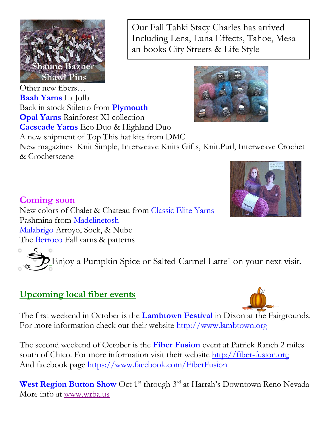

Our Fall Tahki Stacy Charles has arrived Including Lena, Luna Effects, Tahoe, Mesa an books City Streets & Life Style

Other new fibers… **Baah Yarns** La Jolla Back in stock Stiletto from **Plymouth Opal Yarns** Rainforest XI collection **Cacscade Yarns** Eco Duo & Highland Duo A new shipment of Top This hat kits from DMC New magazines Knit Simple, Interweave Knits Gifts, Knit.Purl, Interweave Crochet & Crochetscene

**Coming soon** New colors of Chalet & Chateau from Classic Elite Yarns Pashmina from Madelinetosh Malabrigo Arroyo, Sock, & Nube The Berroco Fall yarns & patterns

Enjoy a Pumpkin Spice or Salted Carmel Latte` on your next visit.

## **Upcoming local fiber events**



The first weekend in October is the **Lambtown Festival** in Dixon at the Fairgrounds. For more information check out their website http://www.lambtown.org

The second weekend of October is the **Fiber Fusion** event at Patrick Ranch 2 miles south of Chico. For more information visit their website [http://fiber-fusion.org](http://fiber-fusion.org/) And facebook page<https://www.facebook.com/FiberFusion>

**West Region Button Show** Oct 1<sup>st</sup> through 3<sup>rd</sup> at Harrah's Downtown Reno Nevada More info at [www.wrba.us](http://www.wrba.us/)

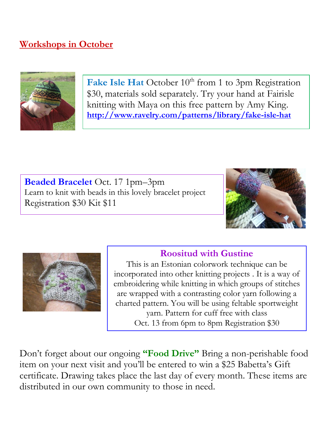## **Workshops in October**



Fake Isle Hat October 10<sup>th</sup> from 1 to 3pm Registration \$30, materials sold separately. Try your hand at Fairisle knitting with Maya on this free pattern by Amy King. **<http://www.ravelry.com/patterns/library/fake-isle-hat>**

**Beaded Bracelet** Oct. 17 1pm–3pm Learn to knit with beads in this lovely bracelet project Registration \$30 Kit \$11





### **Roositud with Gustine**

This is an Estonian colorwork technique can be incorporated into other knitting projects . It is a way of embroidering while knitting in which groups of stitches are wrapped with a contrasting color yarn following a charted pattern. You will be using feltable sportweight yarn. Pattern for cuff free with class Oct. 13 from 6pm to 8pm Registration \$30

Don't forget about our ongoing **"Food Drive"** Bring a non-perishable food item on your next visit and you'll be entered to win a \$25 Babetta's Gift certificate. Drawing takes place the last day of every month. These items are distributed in our own community to those in need.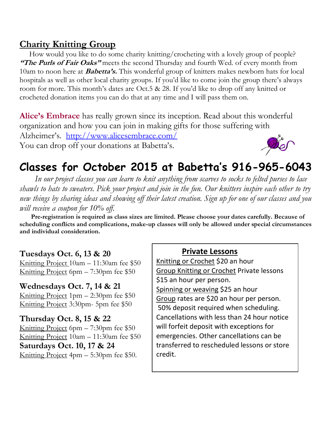### **Charity Knitting Group**

 How would you like to do some charity knitting/crocheting with a lovely group of people? **"The Purls of Fair Oaks"** meets the second Thursday and fourth Wed. of every month from 10am to noon here at **Babetta's.** This wonderful group of knitters makes newborn hats for local hospitals as well as other local charity groups. If you'd like to come join the group there's always room for more. This month's dates are Oct.5 & 28. If you'd like to drop off any knitted or crocheted donation items you can do that at any time and I will pass them on.

**Alice's Embrace** has really grown since its inception. Read about this wonderful organization and how you can join in making gifts for those suffering with Alzheimer's. <http://www.alicesembrace.com/> Ther You can drop off your donations at Babetta's.

# **Classes for October 2015 at Babetta's 916-965-6043**

 *In our project classes you can learn to knit anything from scarves to socks to felted purses to lace shawls to hats to sweaters. Pick your project and join in the fun. Our knitters inspire each other to try new things by sharing ideas and showing off their latest creation. Sign up for one of our classes and you will receive a coupon for 10% off.*

 **Pre-registration is required as class sizes are limited. Please choose your dates carefully. Because of scheduling conflicts and complications, make-up classes will only be allowed under special circumstances and individual consideration.**

#### **Tuesdays Oct. 6, 13 & 20**

Knitting Project 10am – 11:30am fee \$50 Knitting Project 6pm – 7:30pm fee \$50

**Wednesdays Oct. 7, 14 & 21** Knitting Project 1pm – 2:30pm fee \$50 Knitting Project 3:30pm- 5pm fee \$50

# **Thursday Oct. 8, 15 & 22**

Knitting Project 6pm – 7:30pm fee \$50 Knitting Project 10am – 11:30am fee \$50 **Saturdays Oct. 10, 17 & 24** Knitting Project 4pm – 5:30pm fee \$50.

#### **Private Lessons**

Knitting or Crochet \$20 an hour Group Knitting or Crochet Private lessons \$15 an hour per person. Spinning or weaving \$25 an hour Group rates are \$20 an hour per person. 50% deposit required when scheduling. Cancellations with less than 24 hour notice will forfeit deposit with exceptions for emergencies. Other cancellations can be transferred to rescheduled lessons or store credit.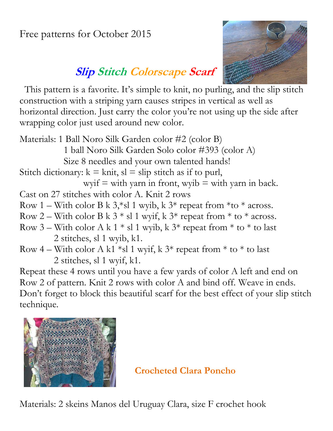Free patterns for October 2015



# **Slip Stitch Colorscape Scarf**

 This pattern is a favorite. It's simple to knit, no purling, and the slip stitch construction with a striping yarn causes stripes in vertical as well as horizontal direction. Just carry the color you're not using up the side after wrapping color just used around new color.

Materials: 1 Ball Noro Silk Garden color #2 (color B) 1 ball Noro Silk Garden Solo color #393 (color A) Size 8 needles and your own talented hands! Stitch dictionary:  $k = \text{knit}$ ,  $sl = \text{slip}$  stitch as if to purl, wyif  $=$  with yarn in front, wyib  $=$  with yarn in back. Cast on 27 stitches with color A. Knit 2 rows Row 1 – With color B k 3,\*sl 1 wyib, k  $3*$  repeat from \*to \* across. Row 2 – With color B k  $3 *$  sl 1 wyif, k  $3 *$  repeat from  $*$  to  $*$  across. Row 3 – With color A k 1  $*$  sl 1 wyib, k 3 $*$  repeat from  $*$  to  $*$  to last 2 stitches, sl 1 wyib, k1. Row 4 – With color A k1  $*$ sl 1 wyif, k 3 $*$  repeat from  $*$  to  $*$  to last 2 stitches, sl 1 wyif, k1. Repeat these 4 rows until you have a few yards of color A left and end on Row 2 of pattern. Knit 2 rows with color A and bind off. Weave in ends.

Don't forget to block this beautiful scarf for the best effect of your slip stitch technique.



### **Crocheted Clara Poncho**

Materials: 2 skeins Manos del Uruguay Clara, size F crochet hook